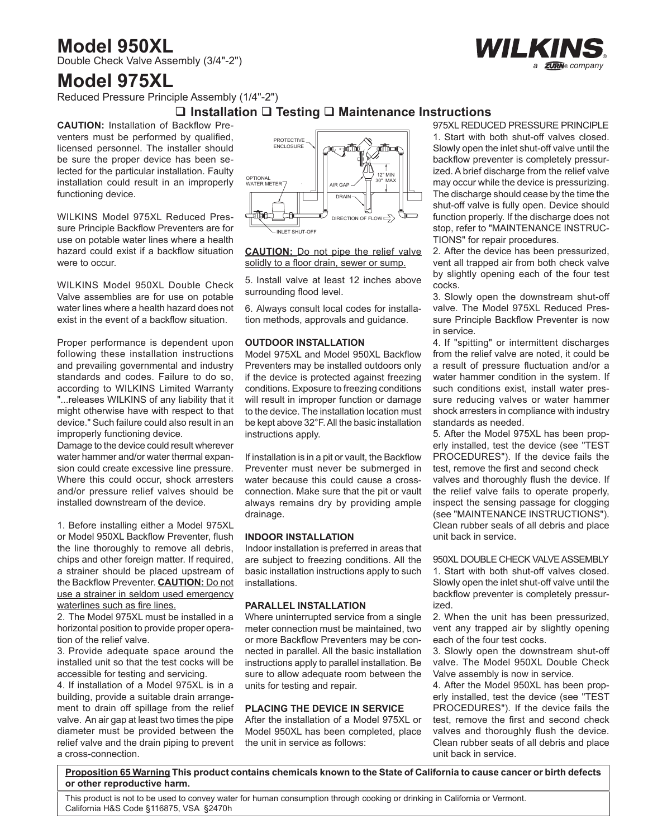# **Model 950XL**

Double Check Valve Assembly (3/4"-2")

# **Model 975XL**

Reduced Pressure Principle Assembly (1/4"-2")

# **Installation Testing Maintenance Instructions**

**CAUTION:** Installation of Backflow Preventers must be performed by qualified, licensed personnel. The installer should be sure the proper device has been selected for the particular installation. Faulty installation could result in an improperly functioning device.

WILKINS Model 975XL Reduced Pressure Principle Backflow Preventers are for use on potable water lines where a health hazard could exist if a backflow situation were to occur.

WILKINS Model 950XL Double Check Valve assemblies are for use on potable water lines where a health hazard does not exist in the event of a backflow situation.

Proper performance is dependent upon following these installation instructions and prevailing governmental and industry standards and codes. Failure to do so, according to WILKINS Limited Warranty "...releases WILKINS of any liability that it might otherwise have with respect to that device." Such failure could also result in an improperly functioning device.

Damage to the device could result wherever water hammer and/or water thermal expansion could create excessive line pressure. Where this could occur, shock arresters and/or pressure relief valves should be installed downstream of the device.

1. Before installing either a Model 975XL or Model 950XL Backflow Preventer, flush the line thoroughly to remove all debris, chips and other foreign matter. If required, a strainer should be placed upstream of the Backflow Preventer. **CAUTION:** Do not use a strainer in seldom used emergency waterlines such as fire lines.

2. The Model 975XL must be installed in a horizontal position to provide proper operation of the relief valve.

3. Provide adequate space around the installed unit so that the test cocks will be accessible for testing and servicing.

4. If installation of a Model 975XL is in a building, provide a suitable drain arrangement to drain off spillage from the relief valve. An air gap at least two times the pipe diameter must be provided between the relief valve and the drain piping to prevent a cross-connection.



**CAUTION:** Do not pipe the relief valve solidly to a floor drain, sewer or sump.

5. Install valve at least 12 inches above surrounding flood level.

6. Always consult local codes for installation methods, approvals and guidance.

## **OUTDOOR INSTALLATION**

Model 975XL and Model 950XL Backflow Preventers may be installed outdoors only if the device is protected against freezing conditions. Exposure to freezing conditions will result in improper function or damage to the device. The installation location must be kept above 32°F. All the basic installation instructions apply.

If installation is in a pit or vault, the Backflow Preventer must never be submerged in water because this could cause a crossconnection. Make sure that the pit or vault always remains dry by providing ample drainage.

### **INDOOR INSTALLATION**

Indoor installation is preferred in areas that are subject to freezing conditions. All the basic installation instructions apply to such installations.

### **PARALLEL INSTALLATION**

Where uninterrupted service from a single meter connection must be maintained, two or more Backflow Preventers may be connected in parallel. All the basic installation instructions apply to parallel installation. Be sure to allow adequate room between the units for testing and repair.

### **PLACING THE DEVICE IN SERVICE**

After the installation of a Model 975XL or Model 950XL has been completed, place the unit in service as follows:

975XL REDUCED PRESSURE PRINCIPLE 1. Start with both shut-off valves closed. Slowly open the inlet shut-off valve until the backflow preventer is completely pressurized. A brief discharge from the relief valve may occur while the device is pressurizing. The discharge should cease by the time the shut-off valve is fully open. Device should function properly. If the discharge does not stop, refer to "MAINTENANCE INSTRUC-TIONS" for repair procedures.

2. After the device has been pressurized, vent all trapped air from both check valve by slightly opening each of the four test cocks.

3. Slowly open the downstream shut-off valve. The Model 975XL Reduced Pressure Principle Backflow Preventer is now in service.

4. If "spitting" or intermittent discharges from the relief valve are noted, it could be a result of pressure fluctuation and/or a water hammer condition in the system. If such conditions exist, install water pressure reducing valves or water hammer shock arresters in compliance with industry standards as needed.

5. After the Model 975XL has been properly installed, test the device (see "TEST PROCEDURES"). If the device fails the test, remove the first and second check valves and thoroughly flush the device. If the relief valve fails to operate properly, inspect the sensing passage for clogging (see "MAINTENANCE INSTRUCTIONS"). Clean rubber seals of all debris and place unit back in service.

950XL DOUBLE CHECK VALVE ASSEMBLY

1. Start with both shut-off valves closed. Slowly open the inlet shut-off valve until the backflow preventer is completely pressurized.

2. When the unit has been pressurized, vent any trapped air by slightly opening each of the four test cocks.

3. Slowly open the downstream shut-off valve. The Model 950XL Double Check Valve assembly is now in service.

4. After the Model 950XL has been properly installed, test the device (see "TEST PROCEDURES"). If the device fails the test, remove the first and second check valves and thoroughly flush the device. Clean rubber seats of all debris and place unit back in service.

**Proposition 65 Warning This product contains chemicals known to the State of California to cause cancer or birth defects or other reproductive harm.** 

This product is not to be used to convey water for human consumption through cooking or drinking in California or Vermont. California H&S Code §116875, VSA §2470h

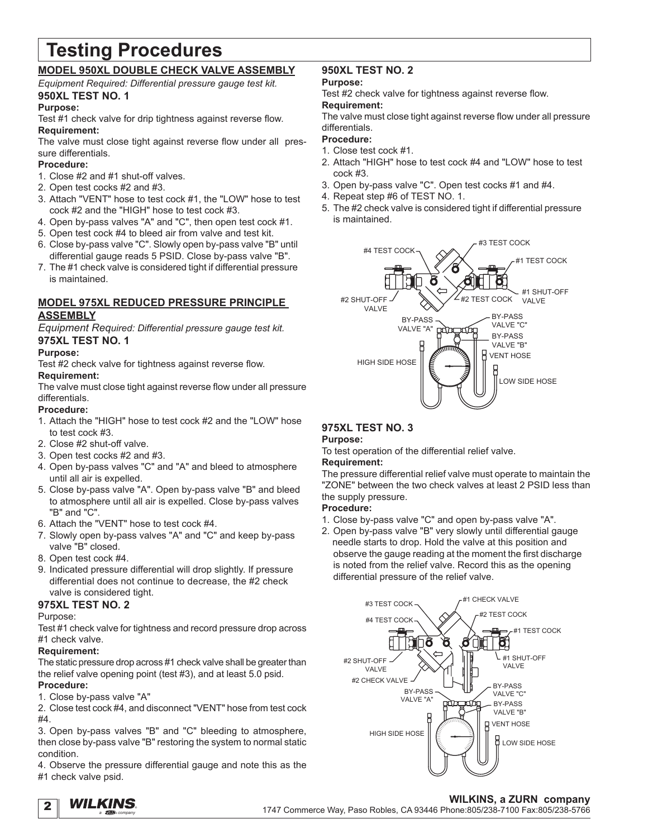# **Testing Procedures**

# **MODEL 950XL DOUBLE CHECK VALVE ASSEMBLY**

*Equipment Required: Differential pressure gauge test kit.* **950XL TEST NO. 1**

# **Purpose:**

Test #1 check valve for drip tightness against reverse flow. **Requirement:**

The valve must close tight against reverse flow under all pressure differentials.

# **Procedure:**

- 1. Close #2 and #1 shut-off valves.
- 2. Open test cocks #2 and #3.
- 3. Attach "VENT" hose to test cock #1, the "LOW" hose to test cock #2 and the "HIGH" hose to test cock #3.
- 4. Open by-pass valves "A" and "C", then open test cock #1.
- 5. Open test cock #4 to bleed air from valve and test kit.
- 6. Close by-pass valve "C". Slowly open by-pass valve "B" until differential gauge reads 5 PSID. Close by-pass valve "B".
- 7. The #1 check valve is considered tight if differential pressure is maintained.

# **MODEL 975XL REDUCED PRESSURE PRINCIPLE ASSEMBLY**

*Equipment Required: Differential pressure gauge test kit.* **975XL TEST NO. 1**

# **Purpose:**

Test #2 check valve for tightness against reverse flow. **Requirement:**

The valve must close tight against reverse flow under all pressure differentials.

# **Procedure:**

- 1. Attach the "HIGH" hose to test cock #2 and the "LOW" hose to test cock #3.
- 2. Close #2 shut-off valve.
- 3. Open test cocks #2 and #3.
- 4. Open by-pass valves "C" and "A" and bleed to atmosphere until all air is expelled.
- 5. Close by-pass valve "A". Open by-pass valve "B" and bleed to atmosphere until all air is expelled. Close by-pass valves "B" and "C".
- 6. Attach the "VENT" hose to test cock #4.
- 7. Slowly open by-pass valves "A" and "C" and keep by-pass valve "B" closed.
- 8. Open test cock #4.
- 9. Indicated pressure differential will drop slightly. If pressure differential does not continue to decrease, the #2 check valve is considered tight.

# **975XL TEST NO. 2**

# Purpose:

Test #1 check valve for tightness and record pressure drop across #1 check valve.

# **Requirement:**

The static pressure drop across #1 check valve shall be greater than the relief valve opening point (test #3), and at least 5.0 psid. **Procedure:**

# 1. Close by-pass valve "A"

2. Close test cock #4, and disconnect "VENT" hose from test cock #4.

3. Open by-pass valves "B" and "C" bleeding to atmosphere, then close by-pass valve "B" restoring the system to normal static condition.

4. Observe the pressure differential gauge and note this as the #1 check valve psid.

# **950XL TEST NO. 2**

# **Purpose:**

Test #2 check valve for tightness against reverse flow. **Requirement:**

The valve must close tight against reverse flow under all pressure differentials.

# **Procedure:**

- 1. Close test cock #1.
- 2. Attach "HIGH" hose to test cock #4 and "LOW" hose to test cock #3.
- 3. Open by-pass valve "C". Open test cocks #1 and #4.
- 4. Repeat step #6 of TEST NO. 1.
- 5. The #2 check valve is considered tight if differential pressure is maintained.



# **975XL TEST NO. 3**

# **Purpose:**

To test operation of the differential relief valve.

# **Requirement:**

The pressure differential relief valve must operate to maintain the "ZONE" between the two check valves at least 2 PSID less than the supply pressure.

# **Procedure:**

- 1. Close by-pass valve "C" and open by-pass valve "A".
- 2. Open by-pass valve "B" very slowly until differential gauge needle starts to drop. Hold the valve at this position and observe the gauge reading at the moment the first discharge is noted from the relief valve. Record this as the opening differential pressure of the relief valve.



2 *a company WILKINS*. ®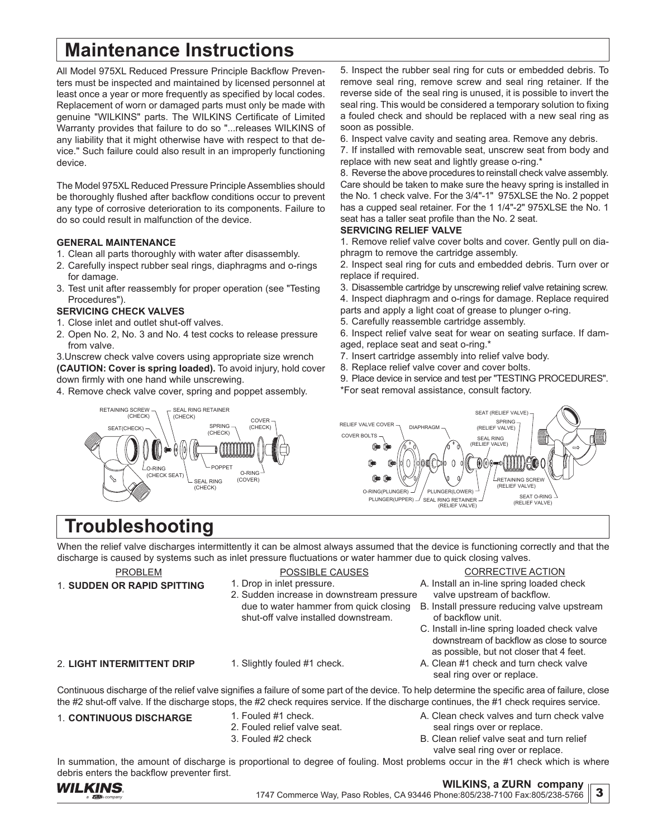# **Maintenance Instructions**

All Model 975XL Reduced Pressure Principle Backflow Preventers must be inspected and maintained by licensed personnel at least once a year or more frequently as specified by local codes. Replacement of worn or damaged parts must only be made with genuine "WILKINS" parts. The WILKINS Certificate of Limited Warranty provides that failure to do so "...releases WILKINS of any liability that it might otherwise have with respect to that device." Such failure could also result in an improperly functioning device.

The Model 975XL Reduced Pressure Principle Assemblies should be thoroughly flushed after backflow conditions occur to prevent any type of corrosive deterioration to its components. Failure to do so could result in malfunction of the device.

### **GENERAL MAINTENANCE**

- 1. Clean all parts thoroughly with water after disassembly.
- 2. Carefully inspect rubber seal rings, diaphragms and o-rings for damage.
- 3. Test unit after reassembly for proper operation (see "Testing Procedures").

# **SERVICING CHECK VALVES**

RETAINING SCREW (CHECK) SEAT(CHECK)

- 1. Close inlet and outlet shut-off valves.
- 2. Open No. 2, No. 3 and No. 4 test cocks to release pressure from valve.

3.Unscrew check valve covers using appropriate size wrench **(CAUTION: Cover is spring loaded).** To avoid injury, hold cover down firmly with one hand while unscrewing.

> SEAL RING RETAINER (CHECK)

> > SPRING (CHECK)

POPPET SEAL RING (CHECK)

O-RING (COVER)

4. Remove check valve cover, spring and poppet assembly.

5. Inspect the rubber seal ring for cuts or embedded debris. To remove seal ring, remove screw and seal ring retainer. If the reverse side of the seal ring is unused, it is possible to invert the seal ring. This would be considered a temporary solution to fixing a fouled check and should be replaced with a new seal ring as soon as possible.

6. Inspect valve cavity and seating area. Remove any debris.

7. If installed with removable seat, unscrew seat from body and replace with new seat and lightly grease o-ring.\*

8. Reverse the above procedures to reinstall check valve assembly. Care should be taken to make sure the heavy spring is installed in the No. 1 check valve. For the 3/4"-1" 975XLSE the No. 2 poppet has a cupped seal retainer. For the 1 1/4"-2" 975XLSE the No. 1 seat has a taller seat profile than the No. 2 seat.

### **SERVICING RELIEF VALVE**

1. Remove relief valve cover bolts and cover. Gently pull on diaphragm to remove the cartridge assembly.

2. Inspect seal ring for cuts and embedded debris. Turn over or replace if required.

3. Disassemble cartridge by unscrewing relief valve retaining screw. 4. Inspect diaphragm and o-rings for damage. Replace required parts and apply a light coat of grease to plunger o-ring.

- 5. Carefully reassemble cartridge assembly.
- 6. Inspect relief valve seat for wear on seating surface. If damaged, replace seat and seat o-ring.\*
- 7. Insert cartridge assembly into relief valve body.
- 8. Replace relief valve cover and cover bolts.
- 9. Place device in service and test per "TESTING PROCEDURES". \*For seat removal assistance, consult factory.



# **Troubleshooting**

 $L$ o-RING (CHECK SEAT)

When the relief valve discharges intermittently it can be almost always assumed that the device is functioning correctly and that the discharge is caused by systems such as inlet pressure fluctuations or water hammer due to quick closing valves.

### PROBLEM 1. **SUDDEN OR RAPID SPITTING**

- POSSIBLE CAUSES 1. Drop in inlet pressure.
- 2. Sudden increase in downstream pressure due to water hammer from quick closing shut-off valve installed downstream. A. Install an in-line spring loaded check B. Install pressure reducing valve upstream

# 2. **LIGHT INTERMITTENT DRIP**

1. Slightly fouled #1 check.

 of backflow unit. C. Install in-line spring loaded check valve downstream of backflow as close to source

as possible, but not closer that 4 feet.

valve upstream of backflow.

CORRECTIVE ACTION

A. Clean #1 check and turn check valve seal ring over or replace.

Continuous discharge of the relief valve signifies a failure of some part of the device. To help determine the specific area of failure, close the #2 shut-off valve. If the discharge stops, the #2 check requires service. If the discharge continues, the #1 check requires service.

# 1. **CONTINUOUS DISCHARGE** 1. Fouled #1 check.

- 2. Fouled relief valve seat.
- 3. Fouled #2 check
- A. Clean check valves and turn check valve seal rings over or replace.
- B. Clean relief valve seat and turn relief valve seal ring over or replace.

In summation, the amount of discharge is proportional to degree of fouling. Most problems occur in the #1 check which is where debris enters the backflow preventer first.



### **WILKINS, a ZURN company**

3

1747 Commerce Way, Paso Robles, CA 93446 Phone:805/238-7100 Fax:805/238-5766